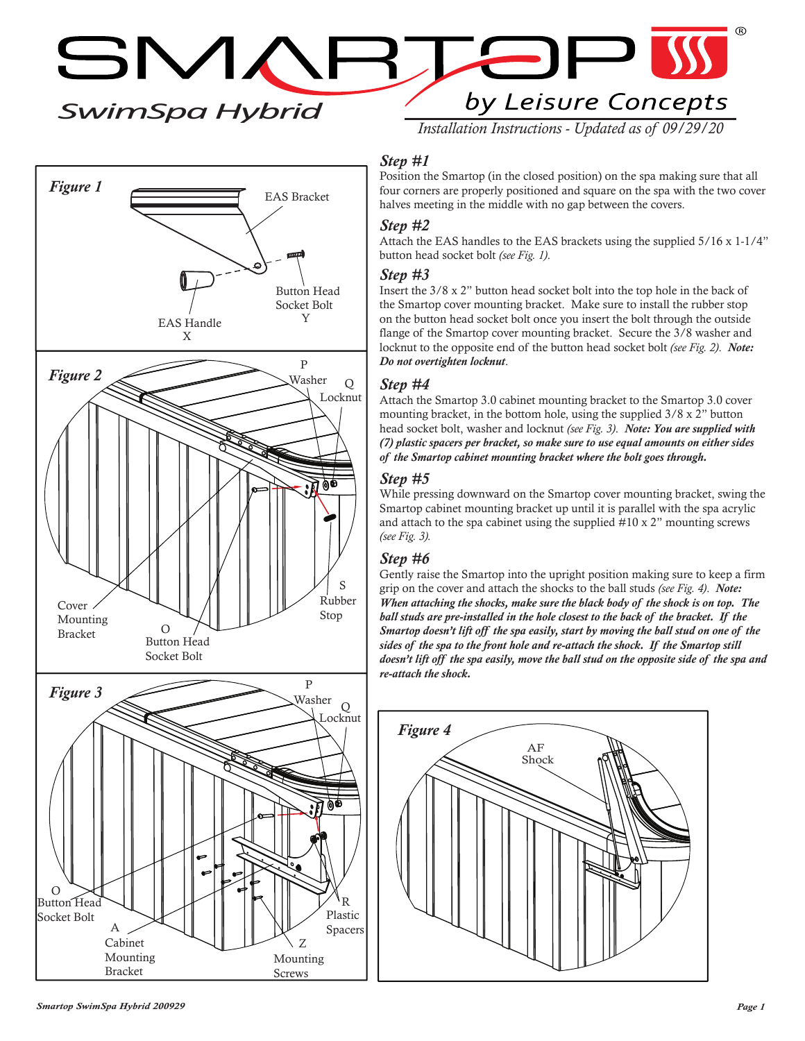$\Box$ SMARTE by Leisure Concepts *SwimSpa Hybrid*

*Installation Instructions - Updated as of 09/29/20*

## *Step #1*

Position the Smartop (in the closed position) on the spa making sure that all four corners are properly positioned and square on the spa with the two cover halves meeting in the middle with no gap between the covers.

### *Step #2*

Attach the EAS handles to the EAS brackets using the supplied 5/16 x 1-1/4" button head socket bolt *(see Fig. 1)*.

#### *Step #3*

Insert the 3/8 x 2" button head socket bolt into the top hole in the back of the Smartop cover mounting bracket. Make sure to install the rubber stop on the button head socket bolt once you insert the bolt through the outside flange of the Smartop cover mounting bracket. Secure the 3/8 washer and locknut to the opposite end of the button head socket bolt *(see Fig. 2)*. *Note: Do not overtighten locknut*.

#### *Step #4*

Attach the Smartop 3.0 cabinet mounting bracket to the Smartop 3.0 cover mounting bracket, in the bottom hole, using the supplied 3/8 x 2" button head socket bolt, washer and locknut *(see Fig. 3)*. *Note: You are supplied with (7) plastic spacers per bracket, so make sure to use equal amounts on either sides of the Smartop cabinet mounting bracket where the bolt goes through.*

#### *Step #5*

While pressing downward on the Smartop cover mounting bracket, swing the Smartop cabinet mounting bracket up until it is parallel with the spa acrylic and attach to the spa cabinet using the supplied #10 x 2" mounting screws *(see Fig. 3).*

## *Step #6*

Gently raise the Smartop into the upright position making sure to keep a firm grip on the cover and attach the shocks to the ball studs *(see Fig. 4)*. *Note: When attaching the shocks, make sure the black body of the shock is on top. The ball studs are pre-installed in the hole closest to the back of the bracket. If the Smartop doesn't lift off the spa easily, start by moving the ball stud on one of the sides of the spa to the front hole and re-attach the shock. If the Smartop still doesn't lift off the spa easily, move the ball stud on the opposite side of the spa and re-attach the shock.*





Figure 1 EAS Bracket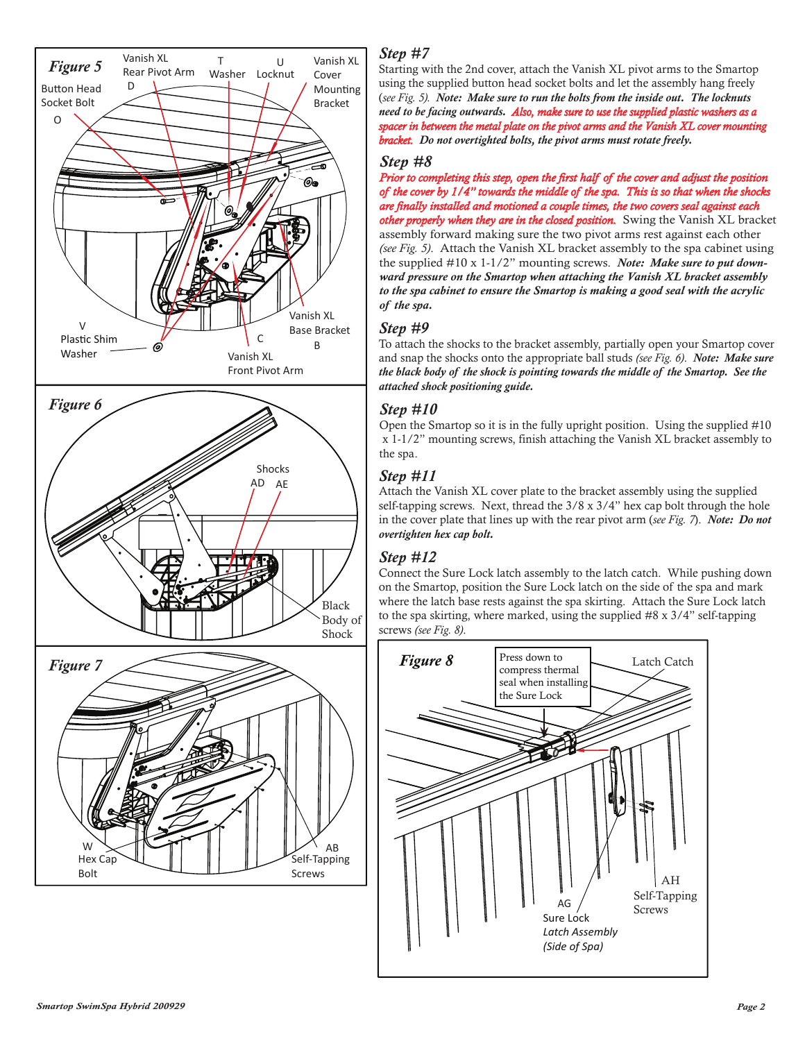

## *Step #7*

Starting with the 2nd cover, attach the Vanish XL pivot arms to the Smartop using the supplied button head socket bolts and let the assembly hang freely (*see Fig. 5). Note: Make sure to run the bolts from the inside out. The locknuts need to be facing outwards. Also, make sure to use the supplied plastic washers as a spacer in between the metal plate on the pivot arms and the Vanish XL cover mounting bracket. Do not overtighted bolts, the pivot arms must rotate freely.*

#### *Step #8*

*Prior to completing this step, open the first half of the cover and adjust the position of the cover by 1/4" towards the middle of the spa. This is so that when the shocks are finally installed and motioned a couple times, the two covers seal against each installed and other properly when they are in the closed position.* Swing the Vanish XL bracket assembly forward making sure the two pivot arms rest against each other *(see Fig. 5)*. Attach the Vanish XL bracket assembly to the spa cabinet using the supplied #10 x 1-1/2" mounting screws. *Note: Make sure to put downward pressure on the Smartop when attaching the Vanish XL bracket assembly to the spa cabinet to ensure the Smartop is making a good seal with the acrylic of the spa.*

#### *Step #9*

To attach the shocks to the bracket assembly, partially open your Smartop cover and snap the shocks onto the appropriate ball studs *(see Fig. 6)*. *Note: Make sure the black body of the shock is pointing towards the middle of the Smartop. See the attached shock positioning guide.*

## *Step #10*

Open the Smartop so it is in the fully upright position. Using the supplied #10 x 1-1/2" mounting screws, finish attaching the Vanish XL bracket assembly to the spa.

## *Step #11*

Attach the Vanish XL cover plate to the bracket assembly using the supplied self-tapping screws. Next, thread the 3/8 x 3/4" hex cap bolt through the hole in the cover plate that lines up with the rear pivot arm (*see Fig. 7*). *Note: Do not overtighten hex cap bolt.*

# *Step #12*

Connect the Sure Lock latch assembly to the latch catch. While pushing down on the Smartop, position the Sure Lock latch on the side of the spa and mark where the latch base rests against the spa skirting. Attach the Sure Lock latch to the spa skirting, where marked, using the supplied #8 x 3/4" self-tapping screws *(see Fig. 8)*.